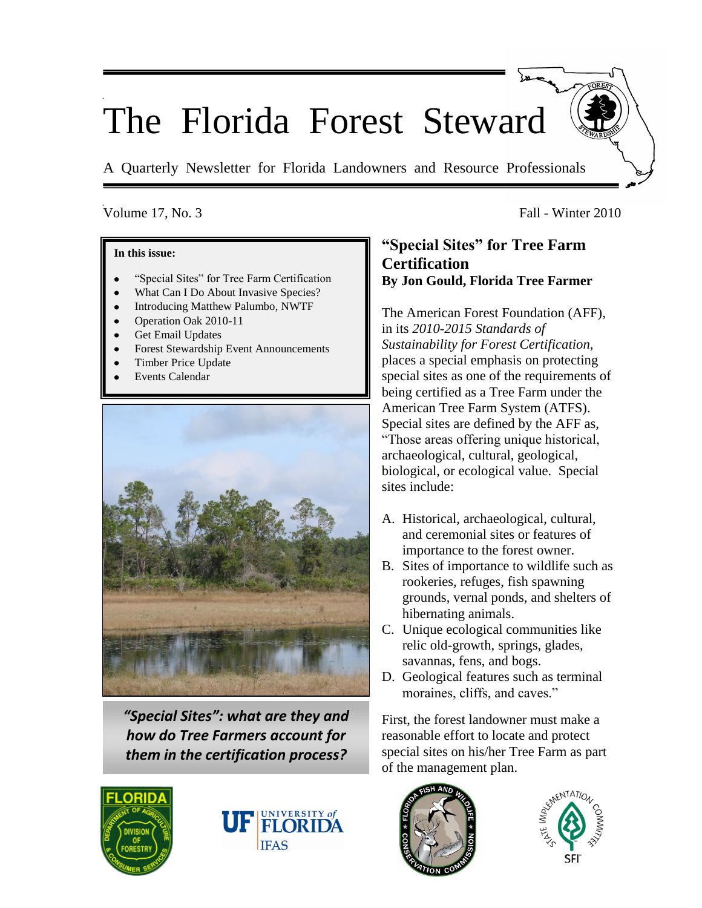# The Florida Forest Steward

A Quarterly Newsletter for Florida Landowners and Resource Professionals

#### **In this issue:**

- "Special Sites" for Tree Farm Certification
- What Can I Do About Invasive Species?
- Introducing Matthew Palumbo, NWTF
- Operation Oak 2010-11
- Get Email Updates
- Forest Stewardship Event Announcements
- Timber Price Update
- Events Calendar



*"Special Sites": what are they and how do Tree Farmers account for them in the certification process?* 





# Volume 17, No. 3 Fall - Winter 2010

# **"Special Sites" for Tree Farm Certification By Jon Gould, Florida Tree Farmer**

The American Forest Foundation (AFF), in its *2010-2015 Standards of Sustainability for Forest Certification,* places a special emphasis on protecting special sites as one of the requirements of being certified as a Tree Farm under the American Tree Farm System (ATFS). Special sites are defined by the AFF as, "Those areas offering unique historical, archaeological, cultural, geological, biological, or ecological value. Special sites include:

- A. Historical, archaeological, cultural, and ceremonial sites or features of importance to the forest owner.
- B. Sites of importance to wildlife such as rookeries, refuges, fish spawning grounds, vernal ponds, and shelters of hibernating animals.
- C. Unique ecological communities like relic old-growth, springs, glades, savannas, fens, and bogs.
- D. Geological features such as terminal moraines, cliffs, and caves."

First, the forest landowner must make a reasonable effort to locate and protect special sites on his/her Tree Farm as part of the management plan.



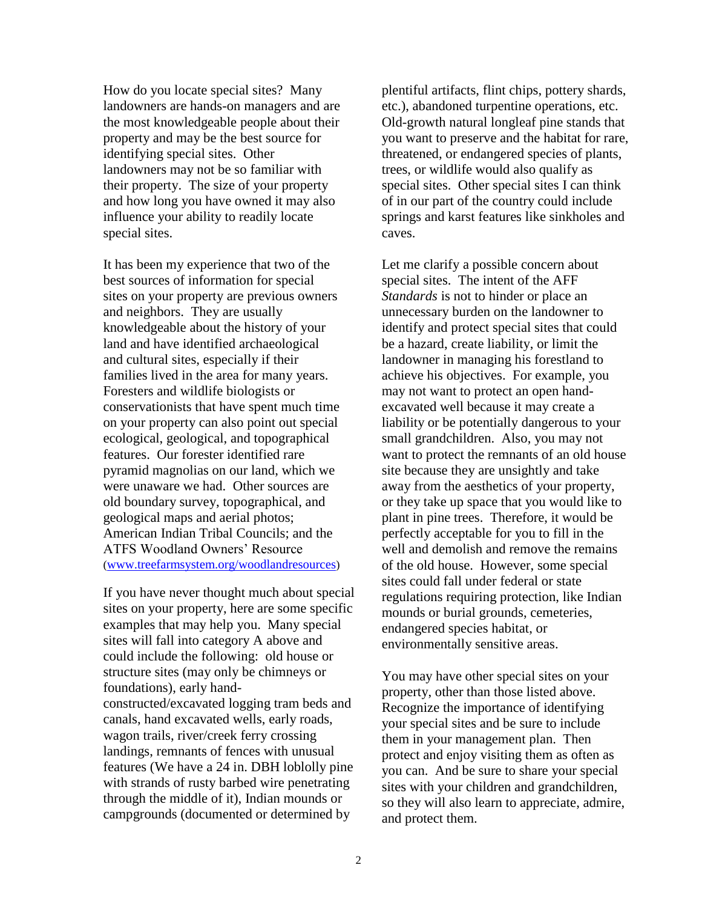How do you locate special sites? Many landowners are hands-on managers and are the most knowledgeable people about their property and may be the best source for identifying special sites. Other landowners may not be so familiar with their property. The size of your property and how long you have owned it may also influence your ability to readily locate special sites.

It has been my experience that two of the best sources of information for special sites on your property are previous owners and neighbors. They are usually knowledgeable about the history of your land and have identified archaeological and cultural sites, especially if their families lived in the area for many years. Foresters and wildlife biologists or conservationists that have spent much time on your property can also point out special ecological, geological, and topographical features. Our forester identified rare pyramid magnolias on our land, which we were unaware we had. Other sources are old boundary survey, topographical, and geological maps and aerial photos; American Indian Tribal Councils; and the ATFS Woodland Owners' Resource ([www.treefarmsystem.org/woodlandresources](http://www.treefarmsystem.org/woodlandresources))

If you have never thought much about special sites on your property, here are some specific examples that may help you. Many special sites will fall into category A above and could include the following: old house or structure sites (may only be chimneys or foundations), early handconstructed/excavated logging tram beds and canals, hand excavated wells, early roads, wagon trails, river/creek ferry crossing landings, remnants of fences with unusual features (We have a 24 in. DBH loblolly pine with strands of rusty barbed wire penetrating through the middle of it), Indian mounds or campgrounds (documented or determined by

plentiful artifacts, flint chips, pottery shards, etc.), abandoned turpentine operations, etc. Old-growth natural longleaf pine stands that you want to preserve and the habitat for rare, threatened, or endangered species of plants, trees, or wildlife would also qualify as special sites. Other special sites I can think of in our part of the country could include springs and karst features like sinkholes and caves.

Let me clarify a possible concern about special sites. The intent of the AFF *Standards* is not to hinder or place an unnecessary burden on the landowner to identify and protect special sites that could be a hazard, create liability, or limit the landowner in managing his forestland to achieve his objectives. For example, you may not want to protect an open handexcavated well because it may create a liability or be potentially dangerous to your small grandchildren. Also, you may not want to protect the remnants of an old house site because they are unsightly and take away from the aesthetics of your property, or they take up space that you would like to plant in pine trees. Therefore, it would be perfectly acceptable for you to fill in the well and demolish and remove the remains of the old house. However, some special sites could fall under federal or state regulations requiring protection, like Indian mounds or burial grounds, cemeteries, endangered species habitat, or environmentally sensitive areas.

You may have other special sites on your property, other than those listed above. Recognize the importance of identifying your special sites and be sure to include them in your management plan. Then protect and enjoy visiting them as often as you can. And be sure to share your special sites with your children and grandchildren, so they will also learn to appreciate, admire, and protect them.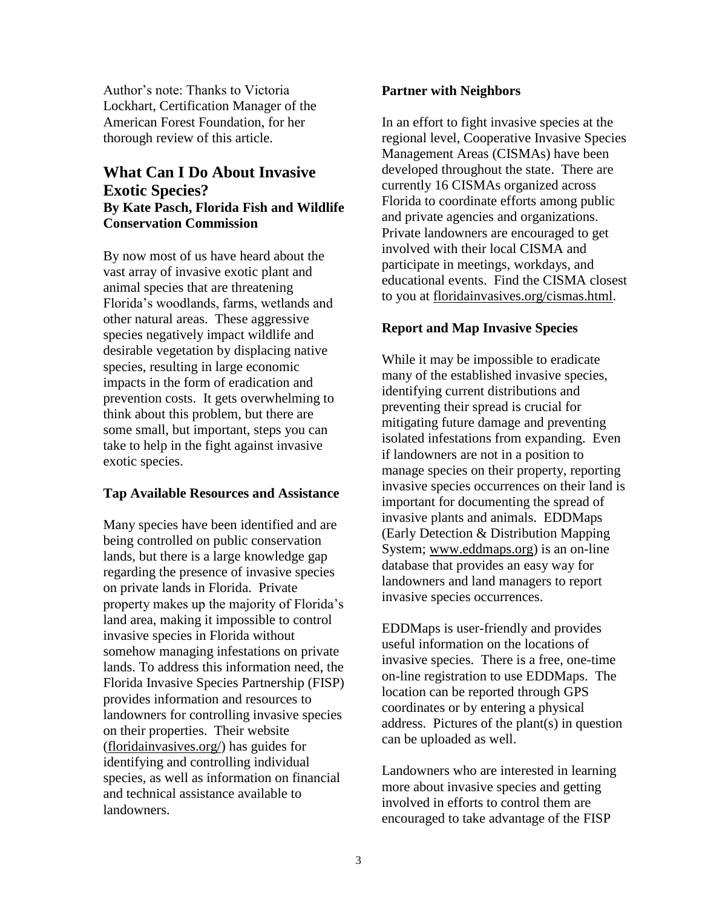Author's note: Thanks to Victoria Lockhart, Certification Manager of the American Forest Foundation, for her thorough review of this article.

# **What Can I Do About Invasive Exotic Species? By Kate Pasch, Florida Fish and Wildlife Conservation Commission**

By now most of us have heard about the vast array of invasive exotic plant and animal species that are threatening Florida's woodlands, farms, wetlands and other natural areas. These aggressive species negatively impact wildlife and desirable vegetation by displacing native species, resulting in large economic impacts in the form of eradication and prevention costs. It gets overwhelming to think about this problem, but there are some small, but important, steps you can take to help in the fight against invasive exotic species.

# **Tap Available Resources and Assistance**

Many species have been identified and are being controlled on public conservation lands, but there is a large knowledge gap regarding the presence of invasive species on private lands in Florida. Private property makes up the majority of Florida's land area, making it impossible to control invasive species in Florida without somehow managing infestations on private lands. To address this information need, the Florida Invasive Species Partnership (FISP) provides information and resources to landowners for controlling invasive species on their properties. Their website (floridainvasives.org/) has guides for identifying and controlling individual species, as well as information on financial and technical assistance available to landowners.

### **Partner with Neighbors**

In an effort to fight invasive species at the regional level, Cooperative Invasive Species Management Areas (CISMAs) have been developed throughout the state. There are currently 16 CISMAs organized across Florida to coordinate efforts among public and private agencies and organizations. Private landowners are encouraged to get involved with their local CISMA and participate in meetings, workdays, and educational events. Find the CISMA closest to you at floridainvasives.org/cismas.html.

# **Report and Map Invasive Species**

While it may be impossible to eradicate many of the established invasive species, identifying current distributions and preventing their spread is crucial for mitigating future damage and preventing isolated infestations from expanding. Even if landowners are not in a position to manage species on their property, reporting invasive species occurrences on their land is important for documenting the spread of invasive plants and animals. EDDMaps (Early Detection & Distribution Mapping System; www.eddmaps.org) is an on-line database that provides an easy way for landowners and land managers to report invasive species occurrences.

EDDMaps is user-friendly and provides useful information on the locations of invasive species. There is a free, one-time on-line registration to use EDDMaps. The location can be reported through GPS coordinates or by entering a physical address. Pictures of the plant(s) in question can be uploaded as well.

Landowners who are interested in learning more about invasive species and getting involved in efforts to control them are encouraged to take advantage of the FISP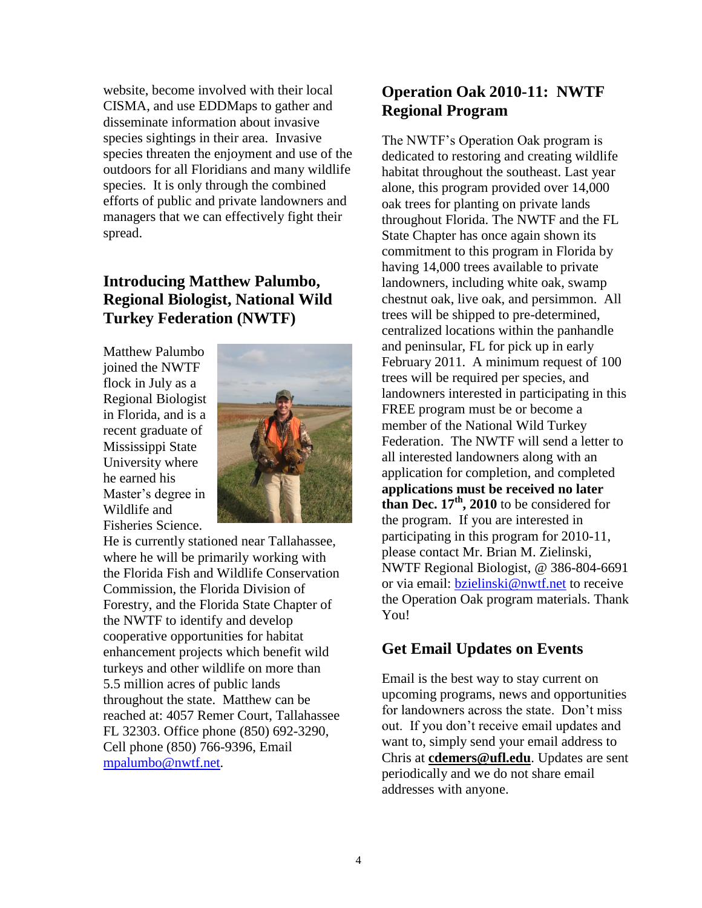website, become involved with their local CISMA, and use EDDMaps to gather and disseminate information about invasive species sightings in their area. Invasive species threaten the enjoyment and use of the outdoors for all Floridians and many wildlife species. It is only through the combined efforts of public and private landowners and managers that we can effectively fight their spread.

# **Introducing Matthew Palumbo, Regional Biologist, National Wild Turkey Federation (NWTF)**

Matthew Palumbo joined the NWTF flock in July as a Regional Biologist in Florida, and is a recent graduate of Mississippi State University where he earned his Master's degree in Wildlife and Fisheries Science.



He is currently stationed near Tallahassee, where he will be primarily working with the Florida Fish and Wildlife Conservation Commission, the Florida Division of Forestry, and the Florida State Chapter of the NWTF to identify and develop cooperative opportunities for habitat enhancement projects which benefit wild turkeys and other wildlife on more than 5.5 million acres of public lands throughout the state. Matthew can be reached at: 4057 Remer Court, Tallahassee FL 32303. Office phone (850) 692-3290, Cell phone (850) 766-9396, Email [mpalumbo@nwtf.net.](mailto:mpalumbo@nwtf.net)

# **Operation Oak 2010-11: NWTF Regional Program**

The NWTF's Operation Oak program is dedicated to restoring and creating wildlife habitat throughout the southeast. Last year alone, this program provided over 14,000 oak trees for planting on private lands throughout Florida. The NWTF and the FL State Chapter has once again shown its commitment to this program in Florida by having 14,000 trees available to private landowners, including white oak, swamp chestnut oak, live oak, and persimmon. All trees will be shipped to pre-determined, centralized locations within the panhandle and peninsular, FL for pick up in early February 2011. A minimum request of 100 trees will be required per species, and landowners interested in participating in this FREE program must be or become a member of the National Wild Turkey Federation. The NWTF will send a letter to all interested landowners along with an application for completion, and completed **applications must be received no later than Dec. 17th, 2010** to be considered for the program. If you are interested in participating in this program for 2010-11, please contact Mr. Brian M. Zielinski, NWTF Regional Biologist, @ 386-804-6691 or via email: [bzielinski@nwtf.net](mailto:bzielinski@nwtf.net) to receive the Operation Oak program materials. Thank You!

# **Get Email Updates on Events**

Email is the best way to stay current on upcoming programs, news and opportunities for landowners across the state. Don't miss out. If you don't receive email updates and want to, simply send your email address to Chris at **cdemers@ufl.edu**. Updates are sent periodically and we do not share email addresses with anyone.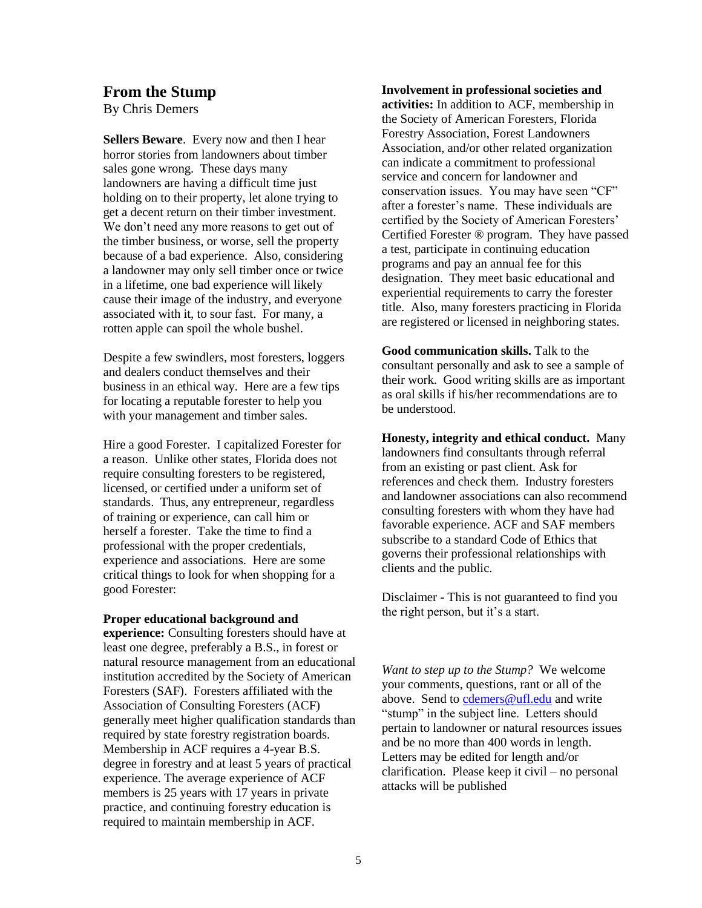### **From the Stump**

By Chris Demers

**Sellers Beware**. Every now and then I hear horror stories from landowners about timber sales gone wrong. These days many landowners are having a difficult time just holding on to their property, let alone trying to get a decent return on their timber investment. We don't need any more reasons to get out of the timber business, or worse, sell the property because of a bad experience. Also, considering a landowner may only sell timber once or twice in a lifetime, one bad experience will likely cause their image of the industry, and everyone associated with it, to sour fast. For many, a rotten apple can spoil the whole bushel.

Despite a few swindlers, most foresters, loggers and dealers conduct themselves and their business in an ethical way. Here are a few tips for locating a reputable forester to help you with your management and timber sales.

Hire a good Forester. I capitalized Forester for a reason. Unlike other states, Florida does not require consulting foresters to be registered, licensed, or certified under a uniform set of standards. Thus, any entrepreneur, regardless of training or experience, can call him or herself a forester. Take the time to find a professional with the proper credentials, experience and associations. Here are some critical things to look for when shopping for a good Forester:

#### **Proper educational background and**

**experience:** Consulting foresters should have at least one degree, preferably a B.S., in forest or natural resource management from an educational institution accredited by the Society of American Foresters (SAF). Foresters affiliated with the Association of Consulting Foresters (ACF) generally meet higher qualification standards than required by state forestry registration boards. Membership in ACF requires a 4-year B.S. degree in forestry and at least 5 years of practical experience. The average experience of ACF members is 25 years with 17 years in private practice, and continuing forestry education is required to maintain membership in ACF.

#### **Involvement in professional societies and**

**activities:** In addition to ACF, membership in the Society of American Foresters, Florida Forestry Association, Forest Landowners Association, and/or other related organization can indicate a commitment to professional service and concern for landowner and conservation issues. You may have seen "CF" after a forester's name. These individuals are certified by the Society of American Foresters' Certified Forester ® program. They have passed a test, participate in continuing education programs and pay an annual fee for this designation. They meet basic educational and experiential requirements to carry the forester title. Also, many foresters practicing in Florida are registered or licensed in neighboring states.

**Good communication skills.** Talk to the consultant personally and ask to see a sample of their work. Good writing skills are as important as oral skills if his/her recommendations are to be understood.

**Honesty, integrity and ethical conduct.** Many landowners find consultants through referral from an existing or past client. Ask for references and check them. Industry foresters and landowner associations can also recommend consulting foresters with whom they have had favorable experience. ACF and SAF members subscribe to a standard Code of Ethics that governs their professional relationships with clients and the public.

Disclaimer - This is not guaranteed to find you the right person, but it's a start.

*Want to step up to the Stump?* We welcome your comments, questions, rant or all of the above. Send to [cdemers@ufl.edu](mailto:cdemers@ufl.edu) and write "stump" in the subject line. Letters should pertain to landowner or natural resources issues and be no more than 400 words in length. Letters may be edited for length and/or clarification. Please keep it civil – no personal attacks will be published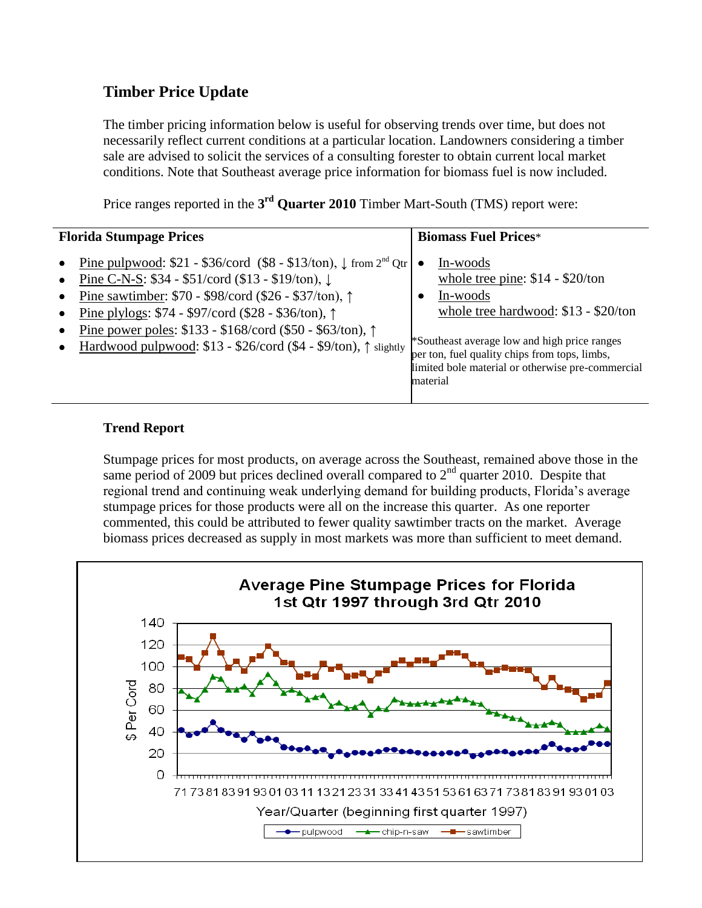# **Timber Price Update**

The timber pricing information below is useful for observing trends over time, but does not necessarily reflect current conditions at a particular location. Landowners considering a timber sale are advised to solicit the services of a consulting forester to obtain current local market conditions. Note that Southeast average price information for biomass fuel is now included.

Price ranges reported in the 3<sup>rd</sup> Quarter 2010 Timber Mart-South (TMS) report were:

| <b>Florida Stumpage Prices</b>                                                                                                                                                                                                                                                                                                                                                                                                                      | <b>Biomass Fuel Prices*</b>                                                                                                                                                                                                                                        |  |
|-----------------------------------------------------------------------------------------------------------------------------------------------------------------------------------------------------------------------------------------------------------------------------------------------------------------------------------------------------------------------------------------------------------------------------------------------------|--------------------------------------------------------------------------------------------------------------------------------------------------------------------------------------------------------------------------------------------------------------------|--|
| Pine pulpwood: $$21 - $36$ /cord (\$8 - \$13/ton), $\downarrow$ from 2 <sup>nd</sup> Qtr<br>Pine C-N-S: \$34 - \$51/cord (\$13 - \$19/ton), ↓<br>$\bullet$<br>Pine sawtimber: \$70 - \$98/cord (\$26 - \$37/ton), ↑<br>$\bullet$<br>Pine plylogs: $$74 - $97/cord ($28 - $36/ton), \uparrow$$<br>$\bullet$<br>Pine power poles: \$133 - \$168/cord (\$50 - \$63/ton), ↑<br>Hardwood pulpwood: \$13 - \$26/cord (\$4 - \$9/ton), $\uparrow$ slightly | In-woods<br>whole tree pine: $$14 - $20/ton$<br>In-woods<br>whole tree hardwood: \$13 - \$20/ton<br>*Southeast average low and high price ranges<br>per ton, fuel quality chips from tops, limbs,<br>limited bole material or otherwise pre-commercial<br>material |  |

# **Trend Report**

Stumpage prices for most products, on average across the Southeast, remained above those in the same period of 2009 but prices declined overall compared to  $2<sup>nd</sup>$  quarter 2010. Despite that regional trend and continuing weak underlying demand for building products, Florida's average stumpage prices for those products were all on the increase this quarter. As one reporter commented, this could be attributed to fewer quality sawtimber tracts on the market. Average biomass prices decreased as supply in most markets was more than sufficient to meet demand.

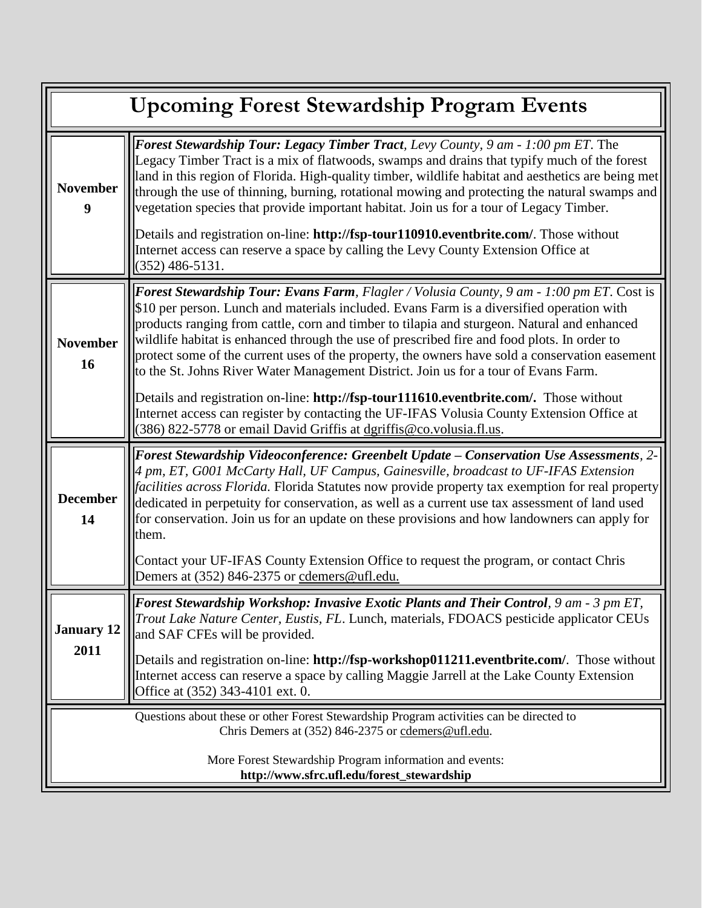| <b>Upcoming Forest Stewardship Program Events</b>                                                                                             |                                                                                                                                                                                                                                                                                                                                                                                                                                                                                                                                                                                                                                                                    |  |
|-----------------------------------------------------------------------------------------------------------------------------------------------|--------------------------------------------------------------------------------------------------------------------------------------------------------------------------------------------------------------------------------------------------------------------------------------------------------------------------------------------------------------------------------------------------------------------------------------------------------------------------------------------------------------------------------------------------------------------------------------------------------------------------------------------------------------------|--|
| <b>November</b><br>9                                                                                                                          | Forest Stewardship Tour: Legacy Timber Tract, Levy County, 9 am - 1:00 pm ET. The<br>Legacy Timber Tract is a mix of flatwoods, swamps and drains that typify much of the forest<br>land in this region of Florida. High-quality timber, wildlife habitat and aesthetics are being met<br>through the use of thinning, burning, rotational mowing and protecting the natural swamps and<br>vegetation species that provide important habitat. Join us for a tour of Legacy Timber.<br>Details and registration on-line: http://fsp-tour110910.eventbrite.com/. Those without<br>Internet access can reserve a space by calling the Levy County Extension Office at |  |
|                                                                                                                                               | $(352)$ 486-5131.                                                                                                                                                                                                                                                                                                                                                                                                                                                                                                                                                                                                                                                  |  |
| <b>November</b><br>16                                                                                                                         | <b>Forest Stewardship Tour: Evans Farm, Flagler / Volusia County, 9 am - 1:00 pm ET. Cost is</b><br>\$10 per person. Lunch and materials included. Evans Farm is a diversified operation with<br>products ranging from cattle, corn and timber to tilapia and sturgeon. Natural and enhanced<br>wildlife habitat is enhanced through the use of prescribed fire and food plots. In order to<br>protect some of the current uses of the property, the owners have sold a conservation easement<br>to the St. Johns River Water Management District. Join us for a tour of Evans Farm.                                                                               |  |
|                                                                                                                                               | Details and registration on-line: http://fsp-tour111610.eventbrite.com/. Those without<br>Internet access can register by contacting the UF-IFAS Volusia County Extension Office at<br>(386) 822-5778 or email David Griffis at dgriffis@co.volusia.fl.us.                                                                                                                                                                                                                                                                                                                                                                                                         |  |
| <b>December</b><br>14                                                                                                                         | Forest Stewardship Videoconference: Greenbelt Update - Conservation Use Assessments, 2-<br>4 pm, ET, G001 McCarty Hall, UF Campus, Gainesville, broadcast to UF-IFAS Extension<br><i>facilities across Florida</i> . Florida Statutes now provide property tax exemption for real property<br>dedicated in perpetuity for conservation, as well as a current use tax assessment of land used<br>for conservation. Join us for an update on these provisions and how landowners can apply for<br>them.                                                                                                                                                              |  |
|                                                                                                                                               | Contact your UF-IFAS County Extension Office to request the program, or contact Chris<br>Demers at (352) 846-2375 or cdemers@ufl.edu.                                                                                                                                                                                                                                                                                                                                                                                                                                                                                                                              |  |
| <b>January 12</b><br>2011                                                                                                                     | <b>Forest Stewardship Workshop: Invasive Exotic Plants and Their Control</b> , 9 am - 3 pm ET,<br>Trout Lake Nature Center, Eustis, FL. Lunch, materials, FDOACS pesticide applicator CEUs<br>and SAF CFEs will be provided.                                                                                                                                                                                                                                                                                                                                                                                                                                       |  |
|                                                                                                                                               | Details and registration on-line: http://fsp-workshop011211.eventbrite.com/. Those without<br>Internet access can reserve a space by calling Maggie Jarrell at the Lake County Extension<br>Office at (352) 343-4101 ext. 0.                                                                                                                                                                                                                                                                                                                                                                                                                                       |  |
| Questions about these or other Forest Stewardship Program activities can be directed to<br>Chris Demers at (352) 846-2375 or cdemers@ufl.edu. |                                                                                                                                                                                                                                                                                                                                                                                                                                                                                                                                                                                                                                                                    |  |
| More Forest Stewardship Program information and events:<br>http://www.sfrc.ufl.edu/forest_stewardship                                         |                                                                                                                                                                                                                                                                                                                                                                                                                                                                                                                                                                                                                                                                    |  |